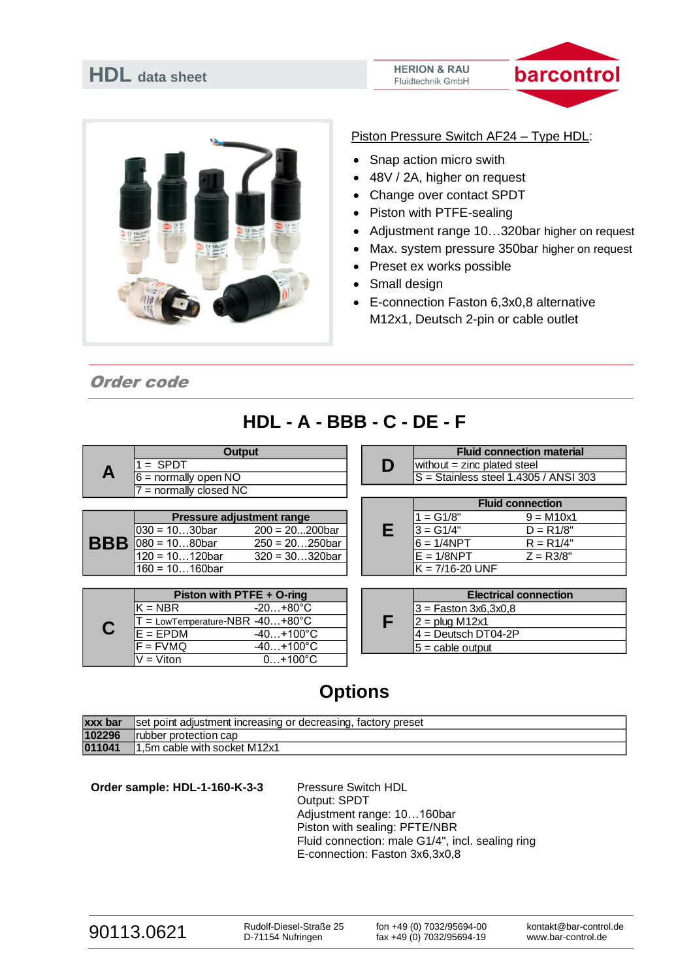



Piston Pressure Switch AF24 – Type HDL:

- Snap action micro swith
- 48V / 2A, higher on request
- Change over contact SPDT
- Piston with PTFE-sealing
- Adjustment range 10…320bar higher on request
- Max. system pressure 350bar higher on request
- Preset ex works possible
- Small design
- E-connection Faston 6,3x0,8 alternative M12x1, Deutsch 2-pin or cable outlet

Order code

## **HDL - A - BBB - C - DE - F**

|  | Output                                           |  | <b>Fluid connection</b>            |  |  |
|--|--------------------------------------------------|--|------------------------------------|--|--|
|  | 1 = SPDT                                         |  | without = $zinc$ plated steel      |  |  |
|  | $6 =$ normally open NO                           |  | <b>IS</b> = Stainless steel 1.4305 |  |  |
|  | $\mathcal{C}$ = normally closed NC $\mathcal{C}$ |  |                                    |  |  |

| Pressure adjustment range |                   |  | $1 = G1/8"$          | $9 = M10x1$ |
|---------------------------|-------------------|--|----------------------|-------------|
| l030 = 10…30bar           | $200 = 20200$ bar |  | $13 = G1/4"$         | $D = R1/8"$ |
| ∥080 = 10…80bar           | $250 = 20250$ bar |  | 16 = 1/4NPT          | $R = R1/4"$ |
| $120 = 10120$ bar         | $320 = 30320$ bar |  | $IE = 1/8NPT$        | $Z = R3/8"$ |
| l160 = 10…160bar          |                   |  | $IK = 7/16 - 20 UNF$ |             |

|   |                                            | Piston with PTFE $+$ O-ring |  | <b>Electrical c</b>    |  |  |
|---|--------------------------------------------|-----------------------------|--|------------------------|--|--|
|   | $K = NBR$                                  | $-20+80^{\circ}$ C          |  | $3 =$ Faston 3x6,3x0,8 |  |  |
|   | $=$ LowTemperature-NBR -40 $+80^{\circ}$ C |                             |  | $2 =$ plug M12x1       |  |  |
| C | $E = EPDM$                                 | $-40+100^{\circ}C$          |  | $4 =$ Deutsch DT04-2P  |  |  |
|   | $F = FVMQ$                                 | $-40+100^{\circ}C$          |  | $5 =$ cable output     |  |  |
|   | √ = Viton l                                | $0+100^{\circ}C$            |  |                        |  |  |

| <b>Dutput</b>        |  | <b>Fluid connection material</b>                  |  |  |
|----------------------|--|---------------------------------------------------|--|--|
| 1 = SPDT             |  | without $=$ zinc plated steel                     |  |  |
| 6 = normally open NO |  | $\textsf{IS}$ = Stainless steel 1.4305 / ANSI 303 |  |  |

|   | <b>Fluid connection</b>        |             |  |  |  |  |  |
|---|--------------------------------|-------------|--|--|--|--|--|
|   | $1 = G1/8"$                    | $9 = M10x1$ |  |  |  |  |  |
| Ε | l3 = G1/4"                     | $D = R1/8"$ |  |  |  |  |  |
|   | $6 = 1/4$ NPT                  | $R = R1/4"$ |  |  |  |  |  |
|   | $E = 1/8$ NPT                  | $Z = R3/8"$ |  |  |  |  |  |
|   | $K = 7/16 - 20 \overline{UNF}$ |             |  |  |  |  |  |

|   | <b>Electrical connection</b> |
|---|------------------------------|
|   | 3 = Faston 3x6,3x0,8         |
| F | $2 = plug M12x1$             |
|   | $4 =$ Deutsch DT04-2P        |
|   | 5 = cable output             |

## **Options**

| xxx bar | Set point adjustment increasing or decreasing, factory preset |
|---------|---------------------------------------------------------------|
| 102296  | Irubber protection cap                                        |
| 011041  | 1.5m cable with socket M12x1                                  |

Order sample: HDL-1-160-K-3-3 Pressure Switch HDL

Output: SPDT Adjustment range: 10…160bar Piston with sealing: PFTE/NBR Fluid connection: male G1/4", incl. sealing ring E-connection: Faston 3x6,3x0,8